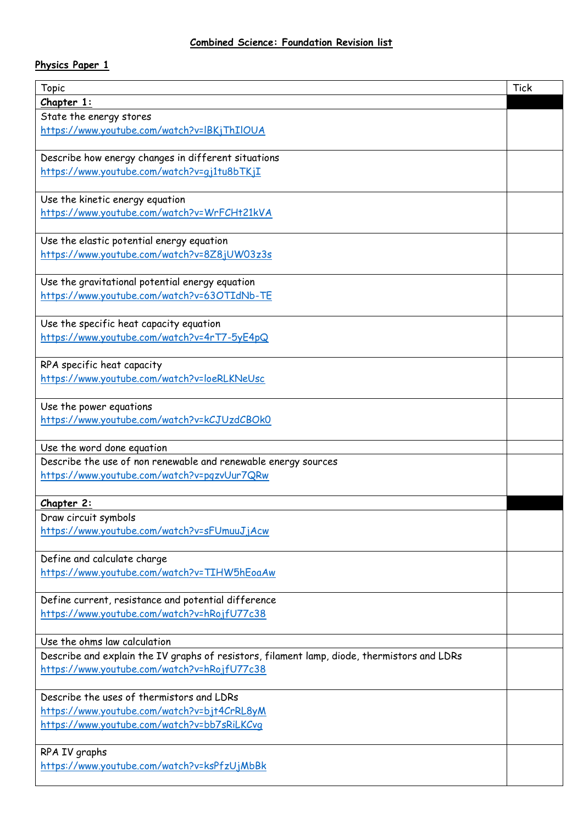## **Physics Paper 1**

| <b>Topic</b>                                                                                | <b>Tick</b> |
|---------------------------------------------------------------------------------------------|-------------|
| Chapter 1:                                                                                  |             |
| State the energy stores                                                                     |             |
| https://www.youtube.com/watch?v=IBKjThIlOUA                                                 |             |
|                                                                                             |             |
| Describe how energy changes in different situations                                         |             |
| https://www.youtube.com/watch?v=qj1tu8bTKjI                                                 |             |
|                                                                                             |             |
| Use the kinetic energy equation                                                             |             |
| https://www.youtube.com/watch?v=WrFCHt21kVA                                                 |             |
|                                                                                             |             |
| Use the elastic potential energy equation                                                   |             |
| https://www.youtube.com/watch?v=8Z8jUW03z3s                                                 |             |
| Use the gravitational potential energy equation                                             |             |
| https://www.youtube.com/watch?v=63OTIdNb-TE                                                 |             |
|                                                                                             |             |
| Use the specific heat capacity equation                                                     |             |
| https://www.youtube.com/watch?v=4rT7-5yE4pQ                                                 |             |
|                                                                                             |             |
| RPA specific heat capacity                                                                  |             |
| https://www.youtube.com/watch?v=loeRLKNeUsc                                                 |             |
|                                                                                             |             |
| Use the power equations                                                                     |             |
| https://www.youtube.com/watch?v=kCJUzdCBOkO                                                 |             |
|                                                                                             |             |
| Use the word done equation                                                                  |             |
| Describe the use of non renewable and renewable energy sources                              |             |
| https://www.youtube.com/watch?v=pqzvUur7QRw                                                 |             |
|                                                                                             |             |
| Chapter 2:                                                                                  |             |
| Draw circuit symbols                                                                        |             |
| https://www.youtube.com/watch?v=sFUmuuJjAcw                                                 |             |
| Define and calculate charge                                                                 |             |
| https://www.youtube.com/watch?v=TIHW5hEoaAw                                                 |             |
|                                                                                             |             |
| Define current, resistance and potential difference                                         |             |
| https://www.youtube.com/watch?v=hRojfU77c38                                                 |             |
|                                                                                             |             |
| Use the ohms law calculation                                                                |             |
| Describe and explain the IV graphs of resistors, filament lamp, diode, thermistors and LDRs |             |
| https://www.youtube.com/watch?v=hRojfU77c38                                                 |             |
|                                                                                             |             |
| Describe the uses of thermistors and LDRs                                                   |             |
| https://www.youtube.com/watch?v=bjt4CrRL8yM                                                 |             |
| https://www.youtube.com/watch?v=bb7sRiLKCvq                                                 |             |
|                                                                                             |             |
| RPA IV graphs                                                                               |             |
| https://www.youtube.com/watch?v=ksPfzUjMbBk                                                 |             |
|                                                                                             |             |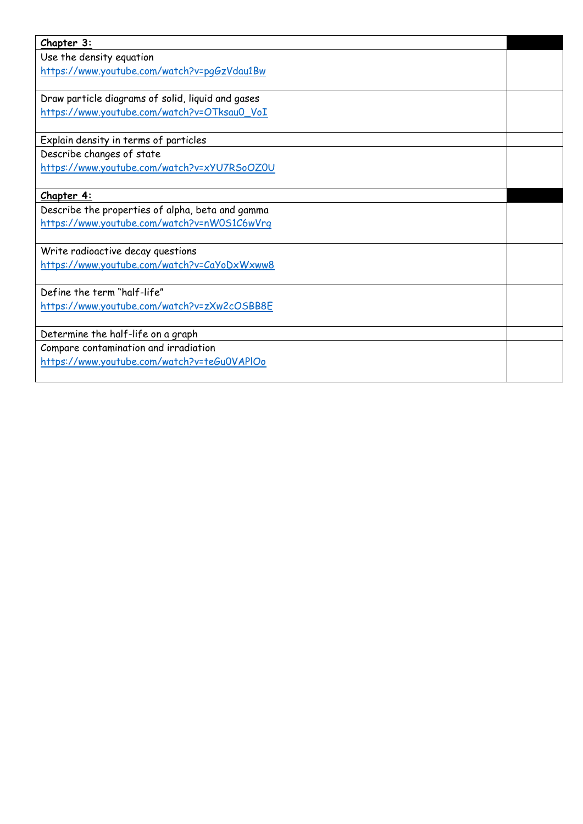| Chapter 3:                                        |  |
|---------------------------------------------------|--|
| Use the density equation                          |  |
| https://www.youtube.com/watch?v=pqGzVdau1Bw       |  |
|                                                   |  |
| Draw particle diagrams of solid, liquid and gases |  |
| https://www.youtube.com/watch?v=OTksau0_VoI       |  |
|                                                   |  |
| Explain density in terms of particles             |  |
| Describe changes of state                         |  |
| https://www.youtube.com/watch?v=xYU7RSoOZOU       |  |
|                                                   |  |
| Chapter 4:                                        |  |
| Describe the properties of alpha, beta and gamma  |  |
| https://www.youtube.com/watch?v=nW0S1C6wVrg       |  |
|                                                   |  |
| Write radioactive decay questions                 |  |
| https://www.youtube.com/watch?v=CaYoDxWxww8       |  |
|                                                   |  |
| Define the term "half-life"                       |  |
| https://www.youtube.com/watch?v=zXw2cOSBB8E       |  |
|                                                   |  |
| Determine the half-life on a graph                |  |
| Compare contamination and irradiation             |  |
| https://www.youtube.com/watch?v=teGu0VAPIOo       |  |
|                                                   |  |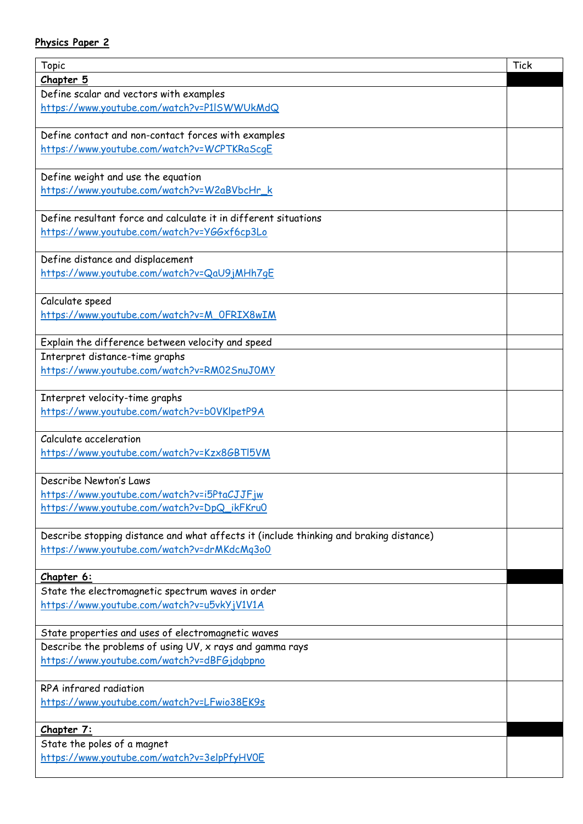## **Physics Paper 2**

| Topic                                                                                  | <b>Tick</b> |
|----------------------------------------------------------------------------------------|-------------|
| <u>Chapter 5</u>                                                                       |             |
| Define scalar and vectors with examples                                                |             |
| https://www.youtube.com/watch?v=P1ISWWUkMdQ                                            |             |
|                                                                                        |             |
| Define contact and non-contact forces with examples                                    |             |
| https://www.youtube.com/watch?v=WCPTKRaScqE                                            |             |
|                                                                                        |             |
| Define weight and use the equation                                                     |             |
| https://www.youtube.com/watch?v=W2aBVbcHr k                                            |             |
|                                                                                        |             |
| Define resultant force and calculate it in different situations                        |             |
| https://www.youtube.com/watch?v=YGGxf6cp3Lo                                            |             |
|                                                                                        |             |
| Define distance and displacement                                                       |             |
| https://www.youtube.com/watch?v=QaU9jMHh7qE                                            |             |
|                                                                                        |             |
| Calculate speed                                                                        |             |
| https://www.youtube.com/watch?v=M_OFRIX8wIM                                            |             |
|                                                                                        |             |
| Explain the difference between velocity and speed                                      |             |
| Interpret distance-time graphs                                                         |             |
| https://www.youtube.com/watch?v=RM02SnuJ0MY                                            |             |
|                                                                                        |             |
| Interpret velocity-time graphs                                                         |             |
| https://www.youtube.com/watch?v=b0VKlpetP9A                                            |             |
|                                                                                        |             |
| Calculate acceleration                                                                 |             |
| https://www.youtube.com/watch?v=Kzx8GBTI5VM                                            |             |
|                                                                                        |             |
| Describe Newton's Laws                                                                 |             |
| https://www.youtube.com/watch?v=i5PtaCJJFjw                                            |             |
| https://www.youtube.com/watch?v=DpQ_ikFKru0                                            |             |
|                                                                                        |             |
| Describe stopping distance and what affects it (include thinking and braking distance) |             |
| https://www.youtube.com/watch?v=drMKdcMq3o0                                            |             |
|                                                                                        |             |
| Chapter 6:                                                                             |             |
| State the electromagnetic spectrum waves in order                                      |             |
| https://www.youtube.com/watch?v=u5vkYjV1V1A                                            |             |
|                                                                                        |             |
| State properties and uses of electromagnetic waves                                     |             |
| Describe the problems of using UV, x rays and gamma rays                               |             |
| https://www.youtube.com/watch?v=dBFGjdgbpno                                            |             |
|                                                                                        |             |
| RPA infrared radiation                                                                 |             |
| https://www.youtube.com/watch?v=LFwio38EK9s                                            |             |
|                                                                                        |             |
| Chapter 7:                                                                             |             |
| State the poles of a magnet                                                            |             |
| https://www.youtube.com/watch?v=3elpPfyHVOE                                            |             |
|                                                                                        |             |